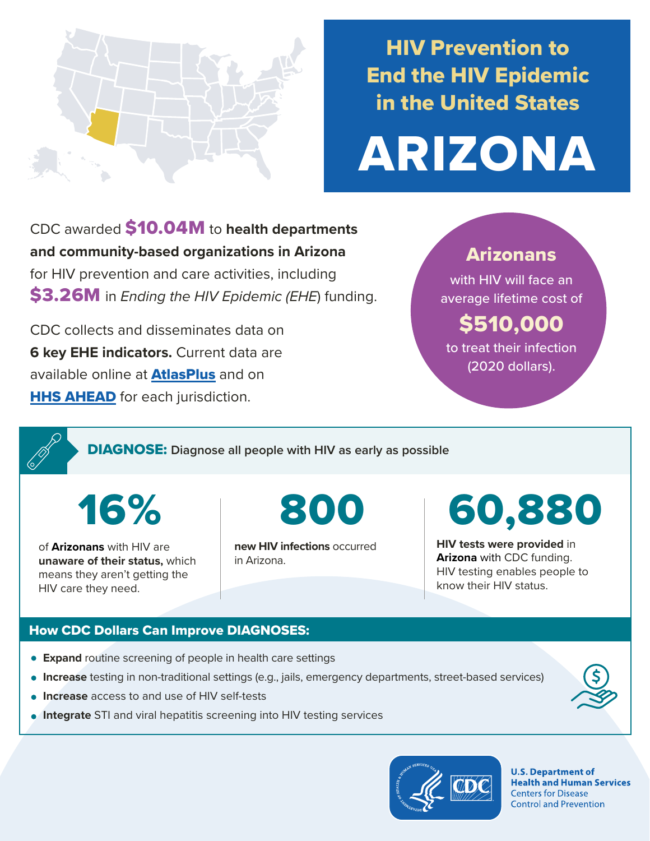

## HIV Prevention to End the HIV Epidemic in the United States

# ARIZONA

CDC awarded \$10.04M to **health departments and community-based organizations in Arizona**  for HIV prevention and care activities, including \$3.26M in *Ending the HIV Epidemic (EHE*) funding.

CDC collects and disseminates data on **6 key EHE indicators.** Current data are available online at **[AtlasPlus](https://www.cdc.gov/nchhstp/atlas/index.htm)** and on **[HHS AHEAD](https://ahead.hiv.gov/)** for each jurisdiction.

### Arizonans

with HIV will face an average lifetime cost of

## \$510,000

to treat their infection (2020 dollars).

DIAGNOSE: **Diagnose all people with HIV as early as possible** 

16%

of **Arizonans** with HIV are **unaware of their status,** which means they aren't getting the HIV care they need.

**new HIV infections** occurred in Arizona.

## 800 60,880

**HIV tests were provided** in **Arizona** with CDC funding. HIV testing enables people to know their HIV status.

#### How CDC Dollars Can Improve DIAGNOSES:

- **Expand** routine screening of people in health care settings
- **Increase** testing in non-traditional settings (e.g., jails, emergency departments, street-based services)
- **Increase** access to and use of HIV self-tests
- **Integrate** STI and viral hepatitis screening into HIV testing services



**U.S. Department of Health and Human Services Centers for Disease Control and Prevention**